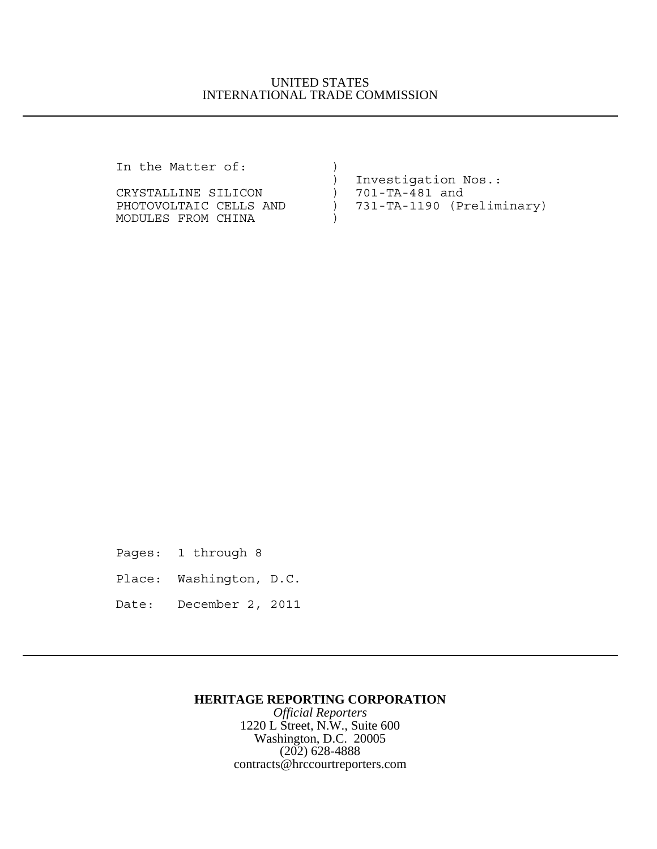## UNITED STATES INTERNATIONAL TRADE COMMISSION

In the Matter of: )

|                        | Investigation Nos.:       |
|------------------------|---------------------------|
| CRYSTALLINE SILICON    | ) 701-TA-481 and          |
| PHOTOVOLTAIC CELLS AND | 731-TA-1190 (Preliminary) |
| MODULES FROM CHINA     |                           |

Pages: 1 through 8

Place: Washington, D.C.

Date: December 2, 2011

## **HERITAGE REPORTING CORPORATION**

*Official Reporters* 1220 L Street, N.W., Suite 600 Washington, D.C. 20005 (202) 628-4888 contracts@hrccourtreporters.com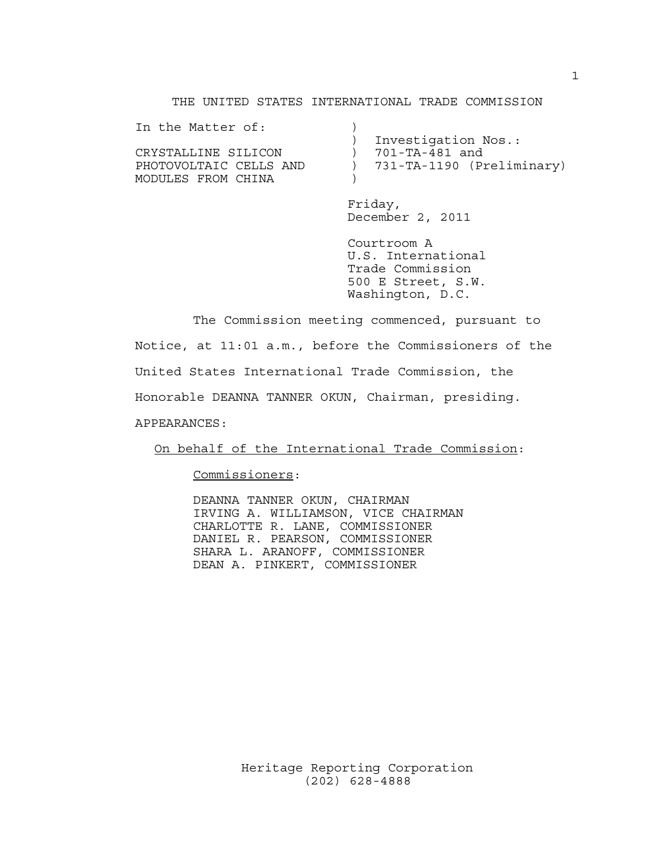#### THE UNITED STATES INTERNATIONAL TRADE COMMISSION

| Investigation Nos.:       |
|---------------------------|
| 701-TA-481 and            |
| 731-TA-1190 (Preliminary) |
|                           |
|                           |

Friday, December 2, 2011

Courtroom A U.S. International Trade Commission 500 E Street, S.W. Washington, D.C.

The Commission meeting commenced, pursuant to Notice, at 11:01 a.m., before the Commissioners of the United States International Trade Commission, the Honorable DEANNA TANNER OKUN, Chairman, presiding. APPEARANCES:

On behalf of the International Trade Commission:

Commissioners:

DEANNA TANNER OKUN, CHAIRMAN IRVING A. WILLIAMSON, VICE CHAIRMAN CHARLOTTE R. LANE, COMMISSIONER DANIEL R. PEARSON, COMMISSIONER SHARA L. ARANOFF, COMMISSIONER DEAN A. PINKERT, COMMISSIONER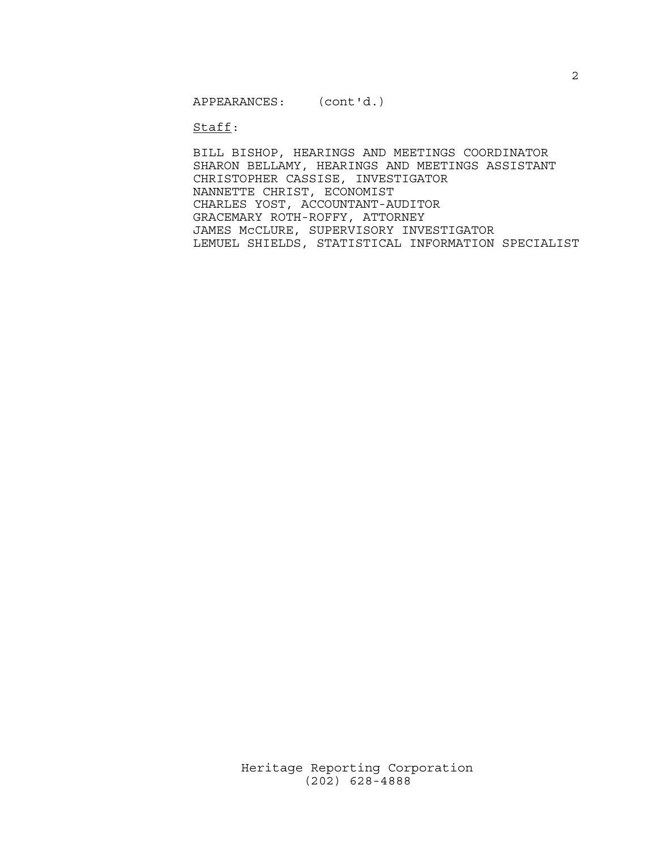APPEARANCES: (cont'd.)

Staff:

BILL BISHOP, HEARINGS AND MEETINGS COORDINATOR SHARON BELLAMY, HEARINGS AND MEETINGS ASSISTANT CHRISTOPHER CASSISE, INVESTIGATOR NANNETTE CHRIST, ECONOMIST CHARLES YOST, ACCOUNTANT-AUDITOR GRACEMARY ROTH-ROFFY, ATTORNEY JAMES McCLURE, SUPERVISORY INVESTIGATOR LEMUEL SHIELDS, STATISTICAL INFORMATION SPECIALIST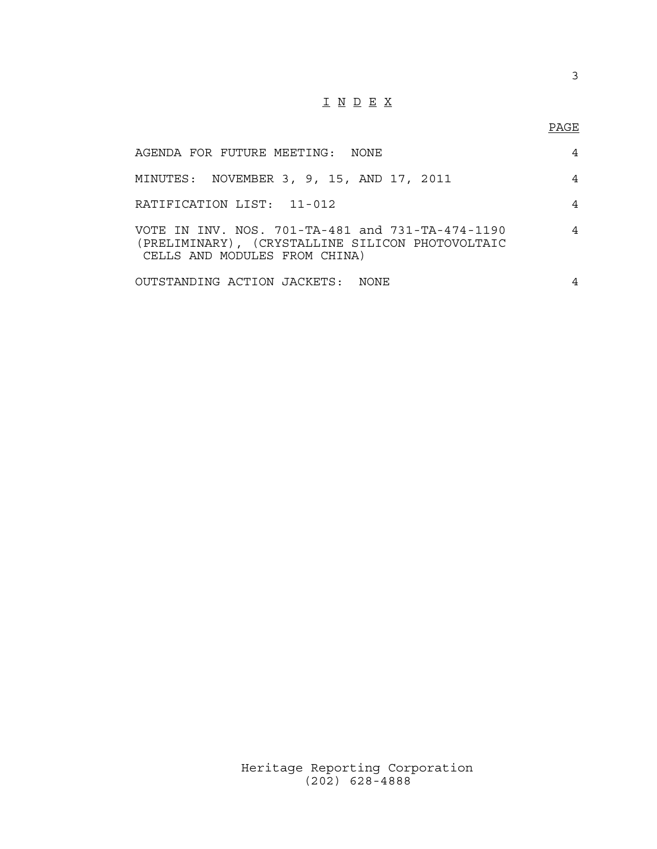# I N D E X

## PAGE

| AGENDA FOR FUTURE MEETING: NONE                                                                                                       | 4              |
|---------------------------------------------------------------------------------------------------------------------------------------|----------------|
| MINUTES: NOVEMBER 3, 9, 15, AND 17, 2011                                                                                              | 4              |
| RATIFICATION LIST: 11-012                                                                                                             | 4              |
| VOTE IN INV. NOS. 701-TA-481 and 731-TA-474-1190<br>(PRELIMINARY), (CRYSTALLINE SILICON PHOTOVOLTAIC<br>CELLS AND MODULES FROM CHINA) | 4              |
| OUTSTANDING ACTION JACKETS: NONE                                                                                                      | $\overline{4}$ |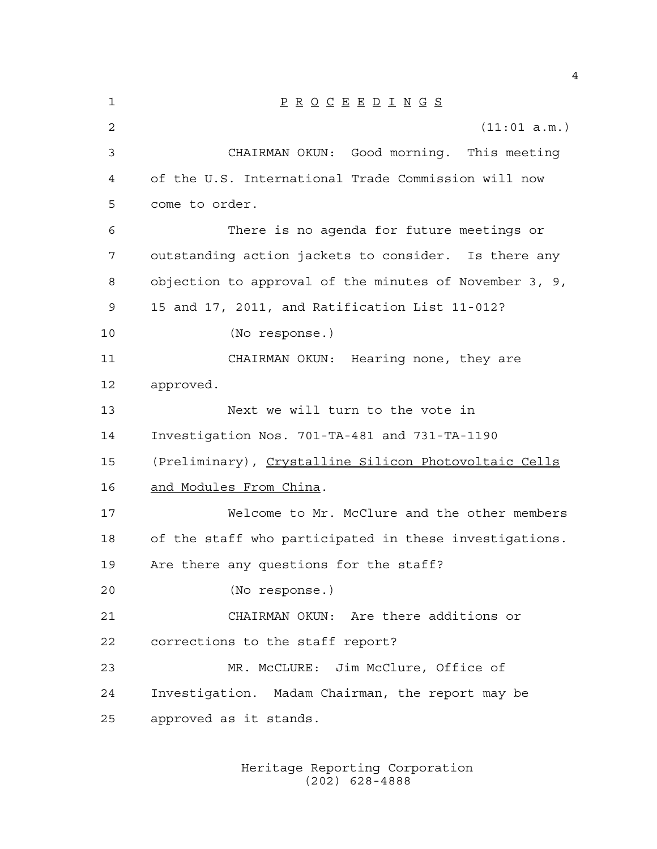P R O C E E D I N G S (11:01 a.m.) CHAIRMAN OKUN: Good morning. This meeting of the U.S. International Trade Commission will now come to order. There is no agenda for future meetings or outstanding action jackets to consider. Is there any objection to approval of the minutes of November 3, 9, 15 and 17, 2011, and Ratification List 11-012? (No response.) CHAIRMAN OKUN: Hearing none, they are approved. Next we will turn to the vote in Investigation Nos. 701-TA-481 and 731-TA-1190 (Preliminary), Crystalline Silicon Photovoltaic Cells and Modules From China. Welcome to Mr. McClure and the other members of the staff who participated in these investigations. Are there any questions for the staff? (No response.) CHAIRMAN OKUN: Are there additions or corrections to the staff report? MR. McCLURE: Jim McClure, Office of Investigation. Madam Chairman, the report may be approved as it stands.

> Heritage Reporting Corporation (202) 628-4888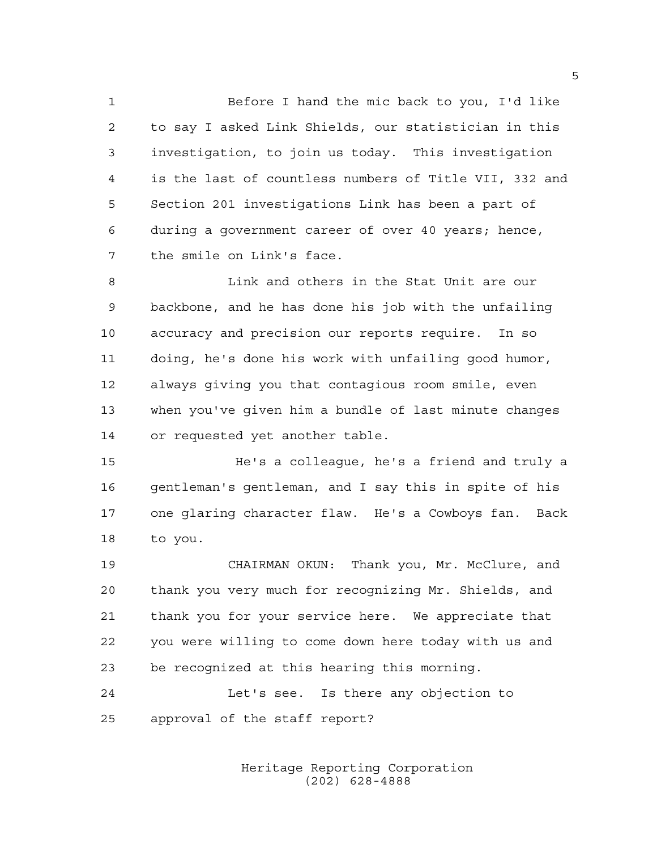Before I hand the mic back to you, I'd like to say I asked Link Shields, our statistician in this investigation, to join us today. This investigation is the last of countless numbers of Title VII, 332 and Section 201 investigations Link has been a part of during a government career of over 40 years; hence, the smile on Link's face.

 Link and others in the Stat Unit are our backbone, and he has done his job with the unfailing accuracy and precision our reports require. In so doing, he's done his work with unfailing good humor, always giving you that contagious room smile, even when you've given him a bundle of last minute changes or requested yet another table.

15 He's a colleague, he's a friend and truly a 16 gentleman's gentleman, and I say this in spite of his one glaring character flaw. He's a Cowboys fan. Back to you.

 CHAIRMAN OKUN: Thank you, Mr. McClure, and thank you very much for recognizing Mr. Shields, and thank you for your service here. We appreciate that you were willing to come down here today with us and be recognized at this hearing this morning.

 Let's see. Is there any objection to approval of the staff report?

> Heritage Reporting Corporation (202) 628-4888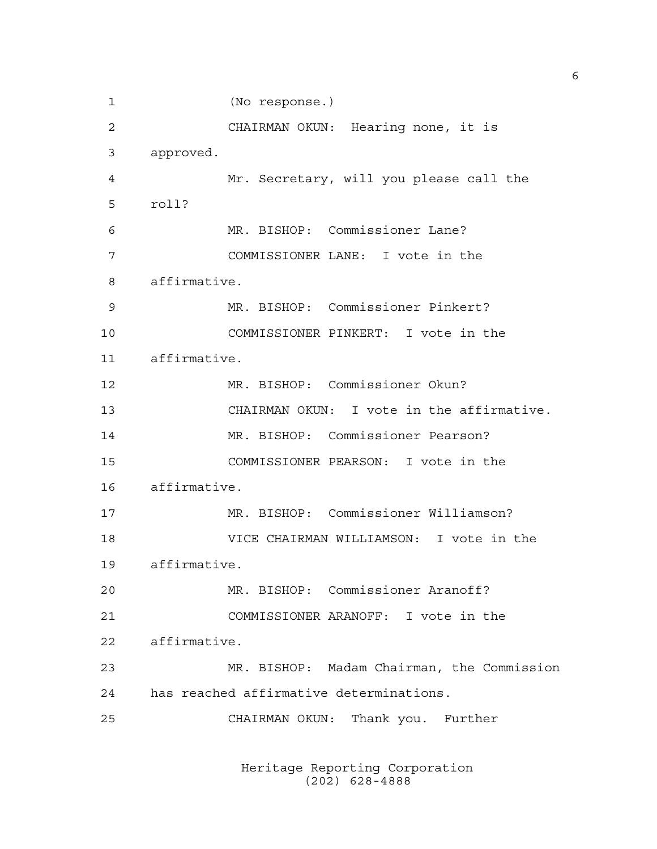(No response.) CHAIRMAN OKUN: Hearing none, it is approved. Mr. Secretary, will you please call the roll? MR. BISHOP: Commissioner Lane? COMMISSIONER LANE: I vote in the affirmative. MR. BISHOP: Commissioner Pinkert? COMMISSIONER PINKERT: I vote in the affirmative. MR. BISHOP: Commissioner Okun? CHAIRMAN OKUN: I vote in the affirmative. MR. BISHOP: Commissioner Pearson? COMMISSIONER PEARSON: I vote in the affirmative. MR. BISHOP: Commissioner Williamson? VICE CHAIRMAN WILLIAMSON: I vote in the affirmative. MR. BISHOP: Commissioner Aranoff? COMMISSIONER ARANOFF: I vote in the affirmative. MR. BISHOP: Madam Chairman, the Commission has reached affirmative determinations. CHAIRMAN OKUN: Thank you. Further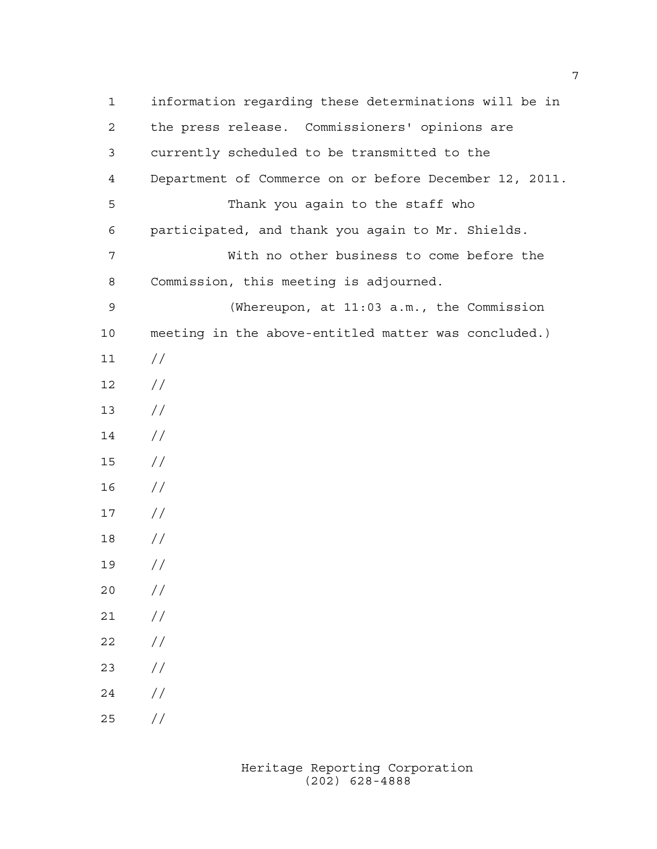information regarding these determinations will be in the press release. Commissioners' opinions are currently scheduled to be transmitted to the Department of Commerce on or before December 12, 2011. Thank you again to the staff who participated, and thank you again to Mr. Shields. With no other business to come before the Commission, this meeting is adjourned. (Whereupon, at 11:03 a.m., the Commission meeting in the above-entitled matter was concluded.)  $11 /$  // //  $14 /$  // //  $17 /$  // //  $20 /$  $21 /$  $22 / /$  //  $24 /$  $25 / /$